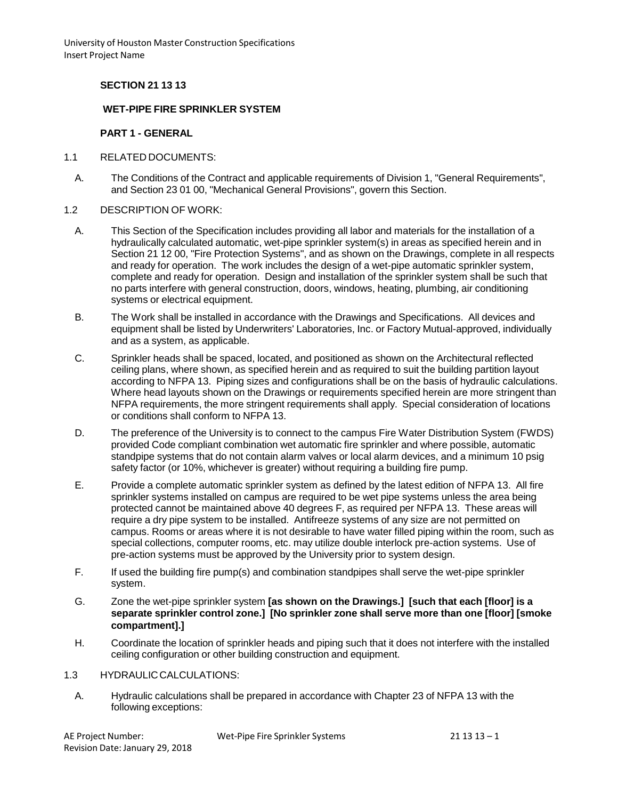## **SECTION 21 13 13**

### **WET-PIPE FIRE SPRINKLER SYSTEM**

#### **PART 1 - GENERAL**

- 1.1 RELATED DOCUMENTS:
	- A. The Conditions of the Contract and applicable requirements of Division 1, "General Requirements", and Section 23 01 00, "Mechanical General Provisions", govern this Section.
- 1.2 DESCRIPTION OF WORK:
	- A. This Section of the Specification includes providing all labor and materials for the installation of a hydraulically calculated automatic, wet-pipe sprinkler system(s) in areas as specified herein and in Section 21 12 00, "Fire Protection Systems", and as shown on the Drawings, complete in all respects and ready for operation. The work includes the design of a wet-pipe automatic sprinkler system, complete and ready for operation. Design and installation of the sprinkler system shall be such that no parts interfere with general construction, doors, windows, heating, plumbing, air conditioning systems or electrical equipment.
	- B. The Work shall be installed in accordance with the Drawings and Specifications. All devices and equipment shall be listed by Underwriters' Laboratories, Inc. or Factory Mutual-approved, individually and as a system, as applicable.
	- C. Sprinkler heads shall be spaced, located, and positioned as shown on the Architectural reflected ceiling plans, where shown, as specified herein and as required to suit the building partition layout according to NFPA 13. Piping sizes and configurations shall be on the basis of hydraulic calculations. Where head layouts shown on the Drawings or requirements specified herein are more stringent than NFPA requirements, the more stringent requirements shall apply. Special consideration of locations or conditions shall conform to NFPA 13.
	- D. The preference of the University is to connect to the campus Fire Water Distribution System (FWDS) provided Code compliant combination wet automatic fire sprinkler and where possible, automatic standpipe systems that do not contain alarm valves or local alarm devices, and a minimum 10 psig safety factor (or 10%, whichever is greater) without requiring a building fire pump.
	- E. Provide a complete automatic sprinkler system as defined by the latest edition of NFPA 13. All fire sprinkler systems installed on campus are required to be wet pipe systems unless the area being protected cannot be maintained above 40 degrees F, as required per NFPA 13. These areas will require a dry pipe system to be installed. Antifreeze systems of any size are not permitted on campus. Rooms or areas where it is not desirable to have water filled piping within the room, such as special collections, computer rooms, etc. may utilize double interlock pre-action systems. Use of pre-action systems must be approved by the University prior to system design.
	- F. If used the building fire pump(s) and combination standpipes shall serve the wet-pipe sprinkler system.
	- G. Zone the wet-pipe sprinkler system **[as shown on the Drawings.] [such that each [floor] is a separate sprinkler control zone.] [No sprinkler zone shall serve more than one [floor] [smoke compartment].]**
	- H. Coordinate the location of sprinkler heads and piping such that it does not interfere with the installed ceiling configuration or other building construction and equipment.

#### 1.3 HYDRAULICCALCULATIONS:

A. Hydraulic calculations shall be prepared in accordance with Chapter 23 of NFPA 13 with the following exceptions:

| AE Project Number:              | Wet-Pipe Fire Sprinkler Systems |
|---------------------------------|---------------------------------|
| Revision Date: January 29, 2018 |                                 |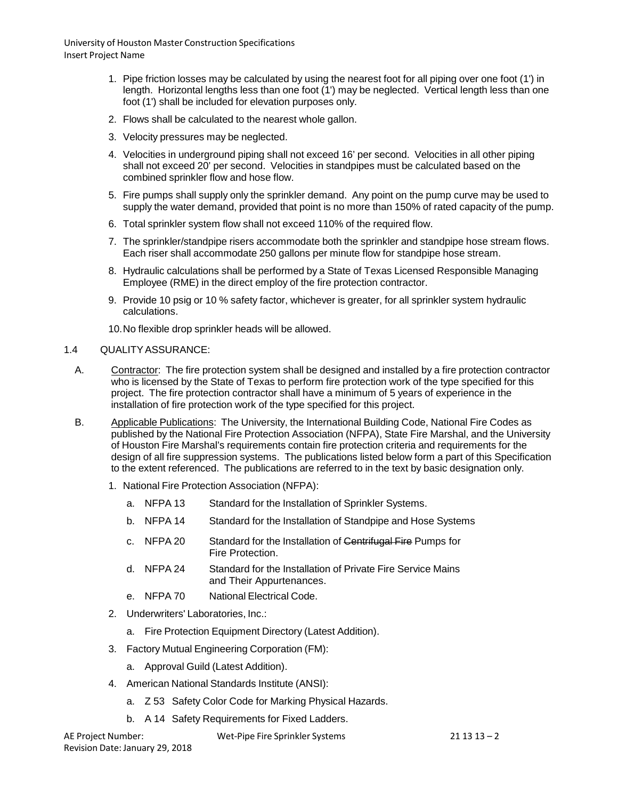- 1. Pipe friction losses may be calculated by using the nearest foot for all piping over one foot (1') in length. Horizontal lengths less than one foot (1') may be neglected. Vertical length less than one foot (1') shall be included for elevation purposes only.
- 2. Flows shall be calculated to the nearest whole gallon.
- 3. Velocity pressures may be neglected.
- 4. Velocities in underground piping shall not exceed 16' per second. Velocities in all other piping shall not exceed 20' per second. Velocities in standpipes must be calculated based on the combined sprinkler flow and hose flow.
- 5. Fire pumps shall supply only the sprinkler demand. Any point on the pump curve may be used to supply the water demand, provided that point is no more than 150% of rated capacity of the pump.
- 6. Total sprinkler system flow shall not exceed 110% of the required flow.
- 7. The sprinkler/standpipe risers accommodate both the sprinkler and standpipe hose stream flows. Each riser shall accommodate 250 gallons per minute flow for standpipe hose stream.
- 8. Hydraulic calculations shall be performed by a State of Texas Licensed Responsible Managing Employee (RME) in the direct employ of the fire protection contractor.
- 9. Provide 10 psig or 10 % safety factor, whichever is greater, for all sprinkler system hydraulic calculations.
- 10.No flexible drop sprinkler heads will be allowed.

#### 1.4 QUALITYASSURANCE:

- A. Contractor: The fire protection system shall be designed and installed by a fire protection contractor who is licensed by the State of Texas to perform fire protection work of the type specified for this project. The fire protection contractor shall have a minimum of 5 years of experience in the installation of fire protection work of the type specified for this project.
- B. Applicable Publications: The University, the International Building Code, National Fire Codes as published by the National Fire Protection Association (NFPA), State Fire Marshal, and the University of Houston Fire Marshal's requirements contain fire protection criteria and requirements for the design of all fire suppression systems. The publications listed below form a part of this Specification to the extent referenced. The publications are referred to in the text by basic designation only.
	- 1. National Fire Protection Association (NFPA):
		- a. NFPA 13 Standard for the Installation of Sprinkler Systems.
		- b. NFPA 14 Standard for the Installation of Standpipe and Hose Systems
		- c. NFPA 20 Standard for the Installation of Centrifugal Fire Pumps for Fire Protection.
		- d. NFPA 24 Standard for the Installation of Private Fire Service Mains and Their Appurtenances.
		- e. NFPA 70 National Electrical Code.
	- 2. Underwriters' Laboratories, Inc.:
		- a. Fire Protection Equipment Directory (Latest Addition).
	- 3. Factory Mutual Engineering Corporation (FM):
		- a. Approval Guild (Latest Addition).
	- 4. American National Standards Institute (ANSI):
		- a. Z 53 Safety Color Code for Marking Physical Hazards.
		- b. A 14 Safety Requirements for Fixed Ladders.

AE Project Number: Revision Date: January 29, 2018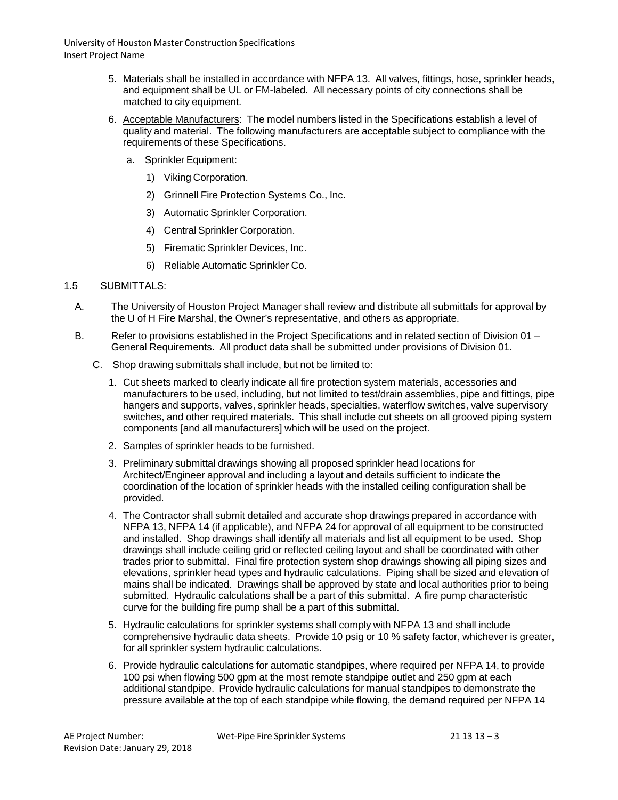- 5. Materials shall be installed in accordance with NFPA 13. All valves, fittings, hose, sprinkler heads, and equipment shall be UL or FM-labeled. All necessary points of city connections shall be matched to city equipment.
- 6. Acceptable Manufacturers: The model numbers listed in the Specifications establish a level of quality and material. The following manufacturers are acceptable subject to compliance with the requirements of these Specifications.
	- a. Sprinkler Equipment:
		- 1) Viking Corporation.
		- 2) Grinnell Fire Protection Systems Co., Inc.
		- 3) Automatic Sprinkler Corporation.
		- 4) Central Sprinkler Corporation.
		- 5) Firematic Sprinkler Devices, Inc.
		- 6) Reliable Automatic Sprinkler Co.

### 1.5 SUBMITTALS:

- A. The University of Houston Project Manager shall review and distribute all submittals for approval by the U of H Fire Marshal, the Owner's representative, and others as appropriate.
- B. Refer to provisions established in the Project Specifications and in related section of Division 01 General Requirements. All product data shall be submitted under provisions of Division 01.
	- C. Shop drawing submittals shall include, but not be limited to:
		- 1. Cut sheets marked to clearly indicate all fire protection system materials, accessories and manufacturers to be used, including, but not limited to test/drain assemblies, pipe and fittings, pipe hangers and supports, valves, sprinkler heads, specialties, waterflow switches, valve supervisory switches, and other required materials. This shall include cut sheets on all grooved piping system components [and all manufacturers] which will be used on the project.
		- 2. Samples of sprinkler heads to be furnished.
		- 3. Preliminary submittal drawings showing all proposed sprinkler head locations for Architect/Engineer approval and including a layout and details sufficient to indicate the coordination of the location of sprinkler heads with the installed ceiling configuration shall be provided.
		- 4. The Contractor shall submit detailed and accurate shop drawings prepared in accordance with NFPA 13, NFPA 14 (if applicable), and NFPA 24 for approval of all equipment to be constructed and installed. Shop drawings shall identify all materials and list all equipment to be used. Shop drawings shall include ceiling grid or reflected ceiling layout and shall be coordinated with other trades prior to submittal. Final fire protection system shop drawings showing all piping sizes and elevations, sprinkler head types and hydraulic calculations. Piping shall be sized and elevation of mains shall be indicated. Drawings shall be approved by state and local authorities prior to being submitted. Hydraulic calculations shall be a part of this submittal. A fire pump characteristic curve for the building fire pump shall be a part of this submittal.
		- 5. Hydraulic calculations for sprinkler systems shall comply with NFPA 13 and shall include comprehensive hydraulic data sheets. Provide 10 psig or 10 % safety factor, whichever is greater, for all sprinkler system hydraulic calculations.
		- 6. Provide hydraulic calculations for automatic standpipes, where required per NFPA 14, to provide 100 psi when flowing 500 gpm at the most remote standpipe outlet and 250 gpm at each additional standpipe. Provide hydraulic calculations for manual standpipes to demonstrate the pressure available at the top of each standpipe while flowing, the demand required per NFPA 14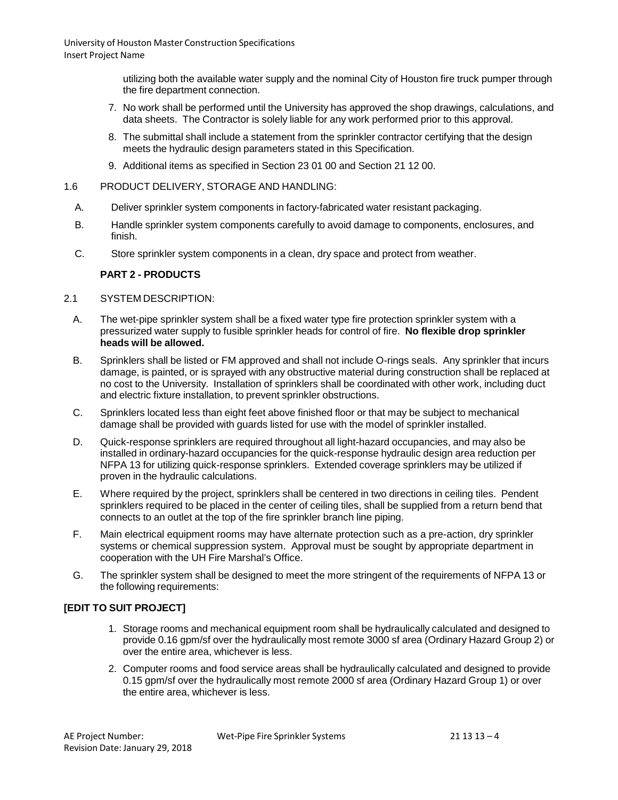> utilizing both the available water supply and the nominal City of Houston fire truck pumper through the fire department connection.

- 7. No work shall be performed until the University has approved the shop drawings, calculations, and data sheets. The Contractor is solely liable for any work performed prior to this approval.
- 8. The submittal shall include a statement from the sprinkler contractor certifying that the design meets the hydraulic design parameters stated in this Specification.
- 9. Additional items as specified in Section 23 01 00 and Section 21 12 00.
- 1.6 PRODUCT DELIVERY, STORAGE AND HANDLING:
	- A. Deliver sprinkler system components in factory-fabricated water resistant packaging.
	- B. Handle sprinkler system components carefully to avoid damage to components, enclosures, and finish.
	- C. Store sprinkler system components in a clean, dry space and protect from weather.

### **PART 2 - PRODUCTS**

#### 2.1 SYSTEM DESCRIPTION:

- A. The wet-pipe sprinkler system shall be a fixed water type fire protection sprinkler system with a pressurized water supply to fusible sprinkler heads for control of fire. **No flexible drop sprinkler heads will be allowed.**
- B. Sprinklers shall be listed or FM approved and shall not include O-rings seals. Any sprinkler that incurs damage, is painted, or is sprayed with any obstructive material during construction shall be replaced at no cost to the University. Installation of sprinklers shall be coordinated with other work, including duct and electric fixture installation, to prevent sprinkler obstructions.
- C. Sprinklers located less than eight feet above finished floor or that may be subject to mechanical damage shall be provided with guards listed for use with the model of sprinkler installed.
- D. Quick-response sprinklers are required throughout all light-hazard occupancies, and may also be installed in ordinary-hazard occupancies for the quick-response hydraulic design area reduction per NFPA 13 for utilizing quick-response sprinklers. Extended coverage sprinklers may be utilized if proven in the hydraulic calculations.
- E. Where required by the project, sprinklers shall be centered in two directions in ceiling tiles. Pendent sprinklers required to be placed in the center of ceiling tiles, shall be supplied from a return bend that connects to an outlet at the top of the fire sprinkler branch line piping.
- F. Main electrical equipment rooms may have alternate protection such as a pre-action, dry sprinkler systems or chemical suppression system. Approval must be sought by appropriate department in cooperation with the UH Fire Marshal's Office.
- G. The sprinkler system shall be designed to meet the more stringent of the requirements of NFPA 13 or the following requirements:

## **[EDIT TO SUIT PROJECT]**

- 1. Storage rooms and mechanical equipment room shall be hydraulically calculated and designed to provide 0.16 gpm/sf over the hydraulically most remote 3000 sf area (Ordinary Hazard Group 2) or over the entire area, whichever is less.
- 2. Computer rooms and food service areas shall be hydraulically calculated and designed to provide 0.15 gpm/sf over the hydraulically most remote 2000 sf area (Ordinary Hazard Group 1) or over the entire area, whichever is less.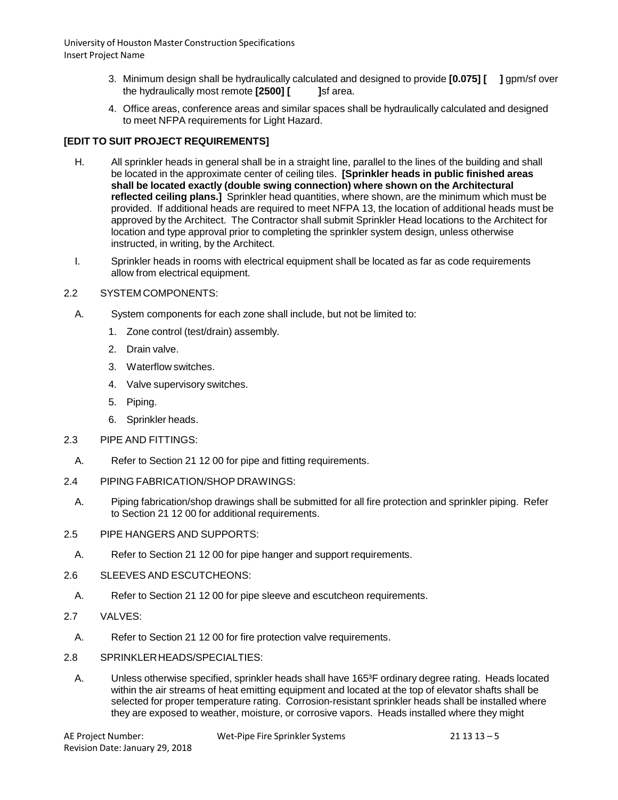- 3. Minimum design shall be hydraulically calculated and designed to provide **[0.075] [ ]** gpm/sf over the hydraulically most remote **[2500] [ ]**sf area.
- 4. Office areas, conference areas and similar spaces shall be hydraulically calculated and designed to meet NFPA requirements for Light Hazard.

# **[EDIT TO SUIT PROJECT REQUIREMENTS]**

- H. All sprinkler heads in general shall be in a straight line, parallel to the lines of the building and shall be located in the approximate center of ceiling tiles. **[Sprinkler heads in public finished areas shall be located exactly (double swing connection) where shown on the Architectural reflected ceiling plans.]** Sprinkler head quantities, where shown, are the minimum which must be provided. If additional heads are required to meet NFPA 13, the location of additional heads must be approved by the Architect. The Contractor shall submit Sprinkler Head locations to the Architect for location and type approval prior to completing the sprinkler system design, unless otherwise instructed, in writing, by the Architect.
- I. Sprinkler heads in rooms with electrical equipment shall be located as far as code requirements allow from electrical equipment.

## 2.2 SYSTEM COMPONENTS:

- A. System components for each zone shall include, but not be limited to:
	- 1. Zone control (test/drain) assembly.
	- 2. Drain valve.
	- 3. Waterflow switches.
	- 4. Valve supervisory switches.
	- 5. Piping.
	- 6. Sprinkler heads.
- 2.3 PIPE AND FITTINGS:
	- A. Refer to Section 21 12 00 for pipe and fitting requirements.
- 2.4 PIPING FABRICATION/SHOP DRAWINGS:
	- A. Piping fabrication/shop drawings shall be submitted for all fire protection and sprinkler piping. Refer to Section 21 12 00 for additional requirements.
- 2.5 PIPE HANGERS AND SUPPORTS:
	- A. Refer to Section 21 12 00 for pipe hanger and support requirements.
- 2.6 SLEEVES AND ESCUTCHEONS:
	- A. Refer to Section 21 12 00 for pipe sleeve and escutcheon requirements.
- 2.7 VALVES:
	- A. Refer to Section 21 12 00 for fire protection valve requirements.
- 2.8 SPRINKLERHEADS/SPECIALTIES:
	- A. Unless otherwise specified, sprinkler heads shall have 165<sup>3</sup>F ordinary degree rating. Heads located within the air streams of heat emitting equipment and located at the top of elevator shafts shall be selected for proper temperature rating. Corrosion-resistant sprinkler heads shall be installed where they are exposed to weather, moisture, or corrosive vapors. Heads installed where they might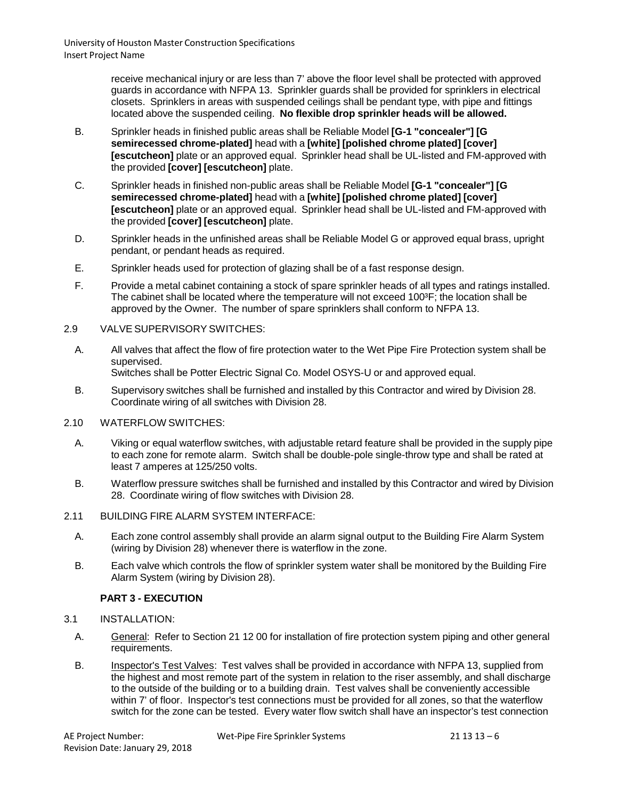> receive mechanical injury or are less than 7' above the floor level shall be protected with approved guards in accordance with NFPA 13. Sprinkler guards shall be provided for sprinklers in electrical closets. Sprinklers in areas with suspended ceilings shall be pendant type, with pipe and fittings located above the suspended ceiling. **No flexible drop sprinkler heads will be allowed.**

- B. Sprinkler heads in finished public areas shall be Reliable Model **[G-1 "concealer"] [G semirecessed chrome-plated]** head with a **[white] [polished chrome plated] [cover] [escutcheon]** plate or an approved equal. Sprinkler head shall be UL-listed and FM-approved with the provided **[cover] [escutcheon]** plate.
- C. Sprinkler heads in finished non-public areas shall be Reliable Model **[G-1 "concealer"] [G semirecessed chrome-plated]** head with a **[white] [polished chrome plated] [cover] [escutcheon]** plate or an approved equal. Sprinkler head shall be UL-listed and FM-approved with the provided **[cover] [escutcheon]** plate.
- D. Sprinkler heads in the unfinished areas shall be Reliable Model G or approved equal brass, upright pendant, or pendant heads as required.
- E. Sprinkler heads used for protection of glazing shall be of a fast response design.
- F. Provide a metal cabinet containing a stock of spare sprinkler heads of all types and ratings installed. The cabinet shall be located where the temperature will not exceed 100<sup>3</sup>F; the location shall be approved by the Owner. The number of spare sprinklers shall conform to NFPA 13.
- 2.9 VALVE SUPERVISORY SWITCHES:
	- A. All valves that affect the flow of fire protection water to the Wet Pipe Fire Protection system shall be supervised. Switches shall be Potter Electric Signal Co. Model OSYS-U or and approved equal.
	- B. Supervisory switches shall be furnished and installed by this Contractor and wired by Division 28. Coordinate wiring of all switches with Division 28.
- 2.10 WATERFLOW SWITCHES:
	- A. Viking or equal waterflow switches, with adjustable retard feature shall be provided in the supply pipe to each zone for remote alarm. Switch shall be double-pole single-throw type and shall be rated at least 7 amperes at 125/250 volts.
	- B. Waterflow pressure switches shall be furnished and installed by this Contractor and wired by Division 28. Coordinate wiring of flow switches with Division 28.
- 2.11 BUILDING FIRE ALARM SYSTEM INTERFACE:
	- A. Each zone control assembly shall provide an alarm signal output to the Building Fire Alarm System (wiring by Division 28) whenever there is waterflow in the zone.
	- B. Each valve which controls the flow of sprinkler system water shall be monitored by the Building Fire Alarm System (wiring by Division 28).

## **PART 3 - EXECUTION**

- 3.1 INSTALLATION:
	- A. General: Refer to Section 21 12 00 for installation of fire protection system piping and other general requirements.
	- B. Inspector's Test Valves: Test valves shall be provided in accordance with NFPA 13, supplied from the highest and most remote part of the system in relation to the riser assembly, and shall discharge to the outside of the building or to a building drain. Test valves shall be conveniently accessible within 7' of floor. Inspector's test connections must be provided for all zones, so that the waterflow switch for the zone can be tested. Every water flow switch shall have an inspector's test connection